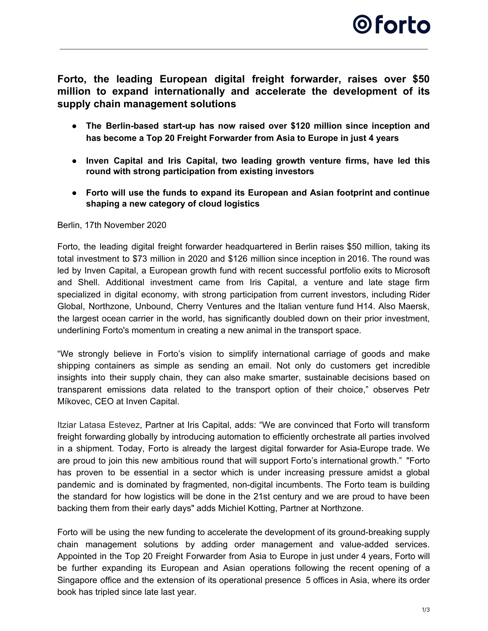**Forto, the leading European digital freight forwarder, raises over \$50 million to expand internationally and accelerate the development of its supply chain management solutions**

- **● The Berlin-based start-up has now raised over \$120 million since inception and has become a Top 20 Freight Forwarder from Asia to Europe in just 4 years**
- **● Inven Capital and Iris Capital, two leading growth venture firms, have led this round with strong participation from existing investors**
- **● Forto will use the funds to expand its European and Asian footprint and continue shaping a new category of cloud logistics**

### Berlin, 17th November 2020

Forto, the leading digital freight forwarder headquartered in Berlin raises \$50 million, taking its total investment to \$73 million in 2020 and \$126 million since inception in 2016. The round was led by Inven Capital, a European growth fund with recent successful portfolio exits to Microsoft and Shell. Additional investment came from Iris Capital, a venture and late stage firm specialized in digital economy, with strong participation from current investors, including Rider Global, Northzone, Unbound, Cherry Ventures and the Italian venture fund H14. Also Maersk, the largest ocean carrier in the world, has significantly doubled down on their prior investment, underlining Forto's momentum in creating a new animal in the transport space.

"We strongly believe in Forto's vision to simplify international carriage of goods and make shipping containers as simple as sending an email. Not only do customers get incredible insights into their supply chain, they can also make smarter, sustainable decisions based on transparent emissions data related to the transport option of their choice," observes Petr Míkovec, CEO at Inven Capital.

Itziar Latasa Estevez, Partner at Iris Capital, adds: "We are convinced that Forto will transform freight forwarding globally by introducing automation to efficiently orchestrate all parties involved in a shipment. Today, Forto is already the largest digital forwarder for Asia-Europe trade. We are proud to join this new ambitious round that will support Forto's international growth." "Forto has proven to be essential in a sector which is under increasing pressure amidst a global pandemic and is dominated by fragmented, non-digital incumbents. The Forto team is building the standard for how logistics will be done in the 21st century and we are proud to have been backing them from their early days" adds Michiel Kotting, Partner at Northzone.

Forto will be using the new funding to accelerate the development of its ground-breaking supply chain management solutions by adding order management and value-added services. Appointed in the Top 20 Freight Forwarder from Asia to Europe in just under 4 years, Forto will be further expanding its European and Asian operations following the recent opening of a Singapore office and the extension of its operational presence 5 offices in Asia, where its order book has tripled since late last year.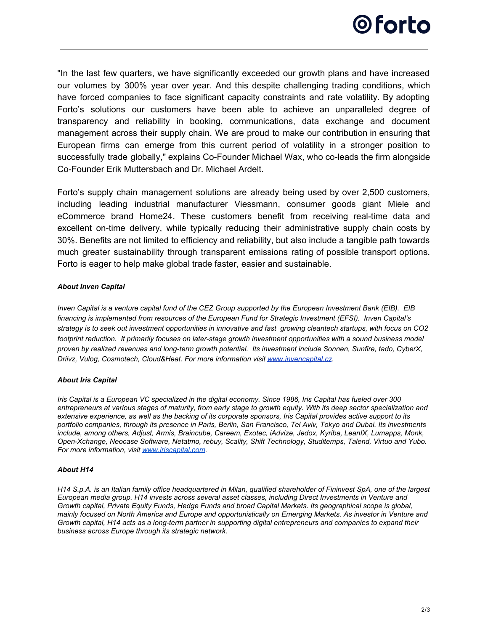

"In the last few quarters, we have significantly exceeded our growth plans and have increased our volumes by 300% year over year. And this despite challenging trading conditions, which have forced companies to face significant capacity constraints and rate volatility. By adopting Forto's solutions our customers have been able to achieve an unparalleled degree of transparency and reliability in booking, communications, data exchange and document management across their supply chain. We are proud to make our contribution in ensuring that European firms can emerge from this current period of volatility in a stronger position to successfully trade globally," explains Co-Founder Michael Wax, who co-leads the firm alongside Co-Founder Erik Muttersbach and Dr. Michael Ardelt.

Forto's supply chain management solutions are already being used by over 2,500 customers, including leading industrial manufacturer Viessmann, consumer goods giant Miele and eCommerce brand Home24. These customers benefit from receiving real-time data and excellent on-time delivery, while typically reducing their administrative supply chain costs by 30%. Benefits are not limited to efficiency and reliability, but also include a tangible path towards much greater sustainability through transparent emissions rating of possible transport options. Forto is eager to help make global trade faster, easier and sustainable.

#### *About Inven Capital*

*Inven Capital is a venture capital fund of the CEZ Group supported by the European Investment Bank (EIB). EIB financing is implemented from resources of the European Fund for Strategic Investment (EFSI). Inven Capital's strategy is to seek out investment opportunities in innovative and fast growing cleantech startups, with focus on CO2 footprint reduction. It primarily focuses on later-stage growth investment opportunities with a sound business model proven by realized revenues and long-term growth potential. Its investment include Sonnen, Sunfire, tado, CyberX, Driivz, Vulog, Cosmotech, Cloud&Heat. For more information visit [www.invencapital.cz](http://www.invencapital.cz/).*

#### *About Iris Capital*

*Iris Capital is a European VC specialized in the digital economy. Since 1986, Iris Capital has fueled over 300 entrepreneurs at various stages of maturity, from early stage to growth equity. With its deep sector specialization and extensive experience, as well as the backing of its corporate sponsors, Iris Capital provides active support to its portfolio companies, through its presence in Paris, Berlin, San Francisco, Tel Aviv, Tokyo and Dubai. Its investments include, among others, Adjust, Armis, Braincube, Careem, Exotec, iAdvize, Jedox, Kyriba, LeanIX, Lumapps, Monk, Open-Xchange, Neocase Software, Netatmo, rebuy, Scality, Shift Technology, Studitemps, Talend, Virtuo and Yubo. For more information, visit [www.iriscapital.com](http://www.iriscapital.com/).*

#### *About H14*

*H14 S.p.A. is an Italian family office headquartered in Milan, qualified shareholder of Fininvest SpA, one of the largest European media group. H14 invests across several asset classes, including Direct Investments in Venture and Growth capital, Private Equity Funds, Hedge Funds and broad Capital Markets. Its geographical scope is global, mainly focused on North America and Europe and opportunistically on Emerging Markets. As investor in Venture and Growth capital, H14 acts as a long-term partner in supporting digital entrepreneurs and companies to expand their business across Europe through its strategic network.*